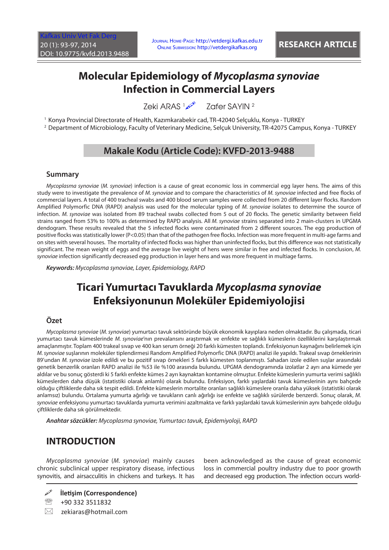# **Molecular Epidemiology of** *Mycoplasma synoviae* **Infection in Commercial Layers**

Zeki ARAS 1 Zafer SAYIN 2

1 Konya Provincial Directorate of Health, Kazımkarabekir cad, TR-42040 Selçuklu, Konya - TURKEY

2 Department of Microbiology, Faculty of Veterinary Medicine, Selçuk University, TR-42075 Campus, Konya - TURKEY

## **Makale Kodu (Article Code): KVFD-2013-9488**

#### **Summary**

*Mycoplasma synoviae* (*M. synoviae*) infection is a cause of great economic loss in commercial egg layer hens. The aims of this study were to investigate the prevalence of *M. synoviae* and to compare the characteristics of *M. synoviae* infected and free flocks of commercial layers. A total of 400 tracheal swabs and 400 blood serum samples were collected from 20 different layer flocks. Random Amplified Polymorfic DNA (RAPD) analysis was used for the molecular typing of *M. synoviae* isolates to determine the source of infection. *M. synoviae* was isolated from 89 tracheal swabs collected from 5 out of 20 flocks. The genetic similarity between field strains ranged from 53% to 100% as determined by RAPD analysis. All *M. synoviae* strains separated into 2 main-clusters in UPGMA dendogram. These results revealed that the 5 infected flocks were contaminated from 2 different sources. The egg production of positive flocks was statistically lower (P<0.05) than that of the pathogen free flocks. Infection was more frequent in multi-age farms and on sites with several houses. The mortality of infected flocks was higher than uninfected flocks, but this difference was not statistically significant. The mean weight of eggs and the average live weight of hens were similar in free and infected flocks. In conclusion, *M. synoviae* infection significantly decreased egg production in layer hens and was more frequent in multiage farms.

*Keywords: Mycoplasma synoviae, Layer, Epidemiology, RAPD*

# **Ticari Yumurtacı Tavuklarda** *Mycoplasma synoviae* **Enfeksiyonunun Moleküler Epidemiyolojisi**

#### **Özet**

*Mycoplasma synoviae* (*M. synoviae*) yumurtacı tavuk sektöründe büyük ekonomik kayıplara neden olmaktadır. Bu çalışmada, ticari yumurtacı tavuk kümeslerinde *M. synoviae*'nın prevalansını araştırmak ve enfekte ve sağlıklı kümeslerin özelliklerini karşılaştırmak amaçlanmıştır. Toplam 400 trakeal sıvap ve 400 kan serum örneği 20 farklı kümesten toplandı. Enfeksiyonun kaynağını belirlemek için *M. synoviae* suşlarının moleküler tiplendirmesi Random Amplified Polymorfic DNA (RAPD) analizi ile yapıldı. Trakeal sıvap örneklerinin 89'undan *M. synoviae* izole edildi ve bu pozitif sıvap örnekleri 5 farklı kümesten toplanmıştı. Sahadan izole edilen suşlar arasındaki genetik benzerlik oranları RAPD analizi ile %53 ile %100 arasında bulundu. UPGMA dendogramında izolatlar 2 ayrı ana kümede yer aldılar ve bu sonuç gösterdi ki 5 farklı enfekte kümes 2 ayrı kaynaktan kontamine olmuştur. Enfekte kümeslerin yumurta verimi sağlıklı kümeslerden daha düşük (istatistiki olarak anlamlı) olarak bulundu. Enfeksiyon, farklı yaşlardaki tavuk kümeslerinin aynı bahçede olduğu çiftliklerde daha sık tespit edildi. Enfekte kümeslerin mortalite oranları sağlıklı kümeslere oranla daha yüksek (istatistiki olarak anlamsız) bulundu. Ortalama yumurta ağırlığı ve tavukların canlı ağırlığı ise enfekte ve sağlıklı sürülerde benzerdi. Sonuç olarak, *M. synoviae* enfeksiyonu yumurtacı tavuklarda yumurta verimini azaltmakta ve farklı yaşlardaki tavuk kümeslerinin aynı bahçede olduğu çiftliklerde daha sık görülmektedir.

*Anahtar sözcükler: Mycoplasma synoviae, Yumurtacı tavuk, Epidemiyoloji, RAPD*

## **INTRODUCTION**

*Mycoplasma synoviae* (*M. synoviae*) mainly causes chronic subclinical upper respiratory disease, infectious synovitis, and airsacculitis in chickens and turkeys. It has

**İletişim (Correspondence)**

<sup>2</sup> +90 332 3511832

 $\boxtimes$  zekiaras@hotmail.com

been acknowledged as the cause of great economic loss in commercial poultry industry due to poor growth and decreased egg production. The infection occurs world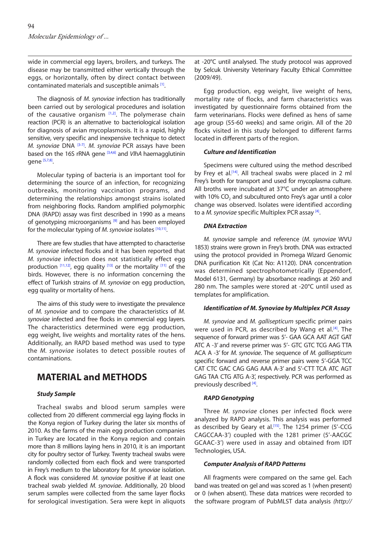wide in commercial egg layers, broilers, and turkeys. The disease may be transmitted either vertically through the eggs, or horizontally, often by direct contact between contaminated materials and susceptible animals [\[1\].](#page-4-0)

The diagnosis of *M. synoviae* infection has traditionally been carried out by serological procedures and isolation of the causative organism  $[1,2]$ . The polymerase chain reaction (PCR) is an alternative to bacteriological isolation for diagnosis of avian mycoplasmosis. It is a rapid, highly sensitive, very specific and inexpensive technique to detect *M. synoviae* DNA [\[3](#page-4-0)-[7\]](#page-4-0). *M. synoviae* PCR assays have been based on the 16S rRNA gen[e \[3,4,6\] a](#page-4-0)nd *VlhA* haemagglutinin gene [\[5,7,8\].](#page-4-0)

Molecular typing of bacteria is an important tool for determining the source of an infection, for recognizing outbreaks, monitoring vaccination programs, and determining the relationships amongst strains isolated from neighboring flocks. Random amplified polymorphic DNA (RAPD) assay was first described in 1990 as a means of genotyping microorganisms  $[9]$  and has been employed for the molecular typing of *M. synoviae* isolates [10,11].

There are few studies that have attempted to characterise *M. synoviae* infected flocks and it has been reported that *M. synoviae* infection does not statistically effect egg production  $[11,12]$ , egg quality  $[13]$  or the mortality  $[11]$  of the birds. However, there is no information concerning the effect of Turkish strains of *M. synoviae* on egg production, egg quality or mortality of hens.

The aims of this study were to investigate the prevalence of *M. synoviae* and to compare the characteristics of *M. synoviae* infected and free flocks in commercial egg layers. The characteristics determined were egg production, egg weight, live weights and mortality rates of the hens. Additionally, an RAPD based method was used to type the *M. synoviae* isolates to detect possible routes of contaminations.

## **MATERIAL and METHODS**

#### *Study Sample*

Tracheal swabs and blood serum samples were collected from 20 different commercial egg laying flocks in the Konya region of Turkey during the later six months of 2010. As the farms of the main egg production companies in Turkey are located in the Konya region and contain more than 8 millions laying hens in 2010, it is an important city for poultry sector of Turkey. Twenty tracheal swabs were randomly collected from each flock and were transported in Frey's medium to the laboratory for *M. synoviae* isolation. A flock was considered *M. synoviae* positive if at least one tracheal swab yielded *M. synoviae*. Additionally, 20 blood serum samples were collected from the same layer flocks for serological investigation. Sera were kept in aliquots

at -20°C until analysed. The study protocol was approved by Selcuk University Veterinary Faculty Ethical Committee (2009/49).

Egg production, egg weight, live weight of hens, mortality rate of flocks, and farm characteristics was investigated by questionnaire forms obtained from the farm veterinarians. Flocks were defined as hens of same age group (55-60 weeks) and same origin. All of the 20 flocks visited in this study belonged to different farms located in different parts of the region.

#### *Culture and Identification*

Specimens were cultured using the method described by Frey et al.<sup>[14]</sup>. All tracheal swabs were placed in 2 ml Frey's broth for transport and used for mycoplasma culture. All broths were incubated at 37°C under an atmosphere with 10% CO<sub>2</sub> and subcultured onto Frey's agar until a color change was observed. Isolates were identified according to a *M. synoviae* specific Multiplex PCR assa[y \[4\].](#page-4-0)

#### *DNA Extraction*

*M. synoviae* sample and reference (*M. synoviae* WVU 1853) strains were grown in Frey's broth. DNA was extracted using the protocol provided in Promega Wizard Genomic DNA purification Kit (Cat No: A1120). DNA concentration was determined spectrophotometrically (Eppendorf, Model 6131, Germany) by absorbance readings at 260 and 280 nm. The samples were stored at -20°C until used as templates for amplification.

#### *Identification of M. Synoviae by Multiplex PCR Assay*

*M. synoviae* and *M. gallisepticum* specific primer pairs were used in PCR, as described by Wang et al.<sup>[4]</sup>. The sequence of forward primer was 5'- GAA GCA AAT AGT GAT ATC A -3' and reverse primer was 5'- GTC GTC TCG AAG TTA ACA A -3' for *M. synoviae*. The sequence of *M. gallisepticum*  specific forward and reverse primer pairs were 5'-GGA TCC CAT CTC GAC CAG GAG AAA A-3' and 5'-CTT TCA ATC AGT GAG TAA CTG ATG A-3', respectively. PCR was performed as previously described [\[4\].](#page-4-0)

#### *RAPD Genotyping*

Three *M. synoviae* clones per infected flock were analyzed by RAPD analysis. This analysis was performed as described by Geary et al.<sup>[15]</sup>. The 1254 primer (5'-CCG CAGCCAA-3') coupled with the 1281 primer (5'-AACGC GCAAC-3') were used in assay and obtained from IDT Technologies, USA.

#### *Computer Analysis of RAPD Patterns*

All fragments were compared on the same gel. Each band was treated on gel and was scored as 1 (when present) or 0 (when absent). These data matrices were recorded to the software program of PubMLST data analysis *(http://*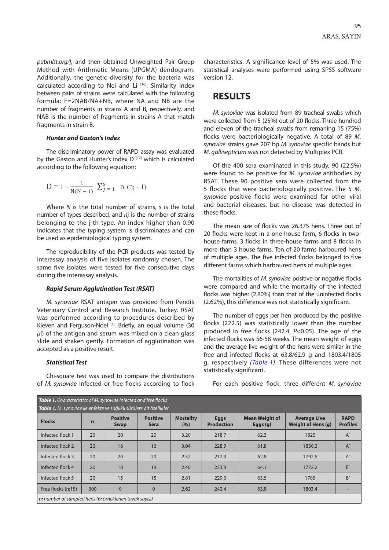<span id="page-2-0"></span>*pubmlst.org/)*, and then obtained Unweighted Pair Group Method with Arithmetic Means (UPGMA) dendogram. Additionally, the genetic diversity for the bacteria was calculated according to Nei and Li  $^{[16]}$ . Similarity index between pairs of strains were calculated with the following formula: F=2NAB/NA+NB, where NA and NB are the number of fragments in strains A and B, respectively, and NAB is the number of fragments in strains A that match fragments in strain B.

#### *Hunter and Gaston's Index*

The discriminatory power of RAPD assay was evaluated by the Gaston and Hunter's index  $D^{[17]}$  which is calculated according to the following equation:

$$
D = 1 - \frac{1}{N(N-1)} \sum_{j=1}^{S} n_j (n_j - 1)
$$

Where *N* is the total number of strains, s is the total number of types described, and *n*j is the number of strains belonging to the j-th type. An index higher than 0.90 indicates that the typing system is discriminates and can be used as epidemiological typing system.

The reproducibility of the PCR products was tested by interassay analysis of five isolates randomly chosen. The same five isolates were tested for five consecutive days during the interassay analysis.

#### *Rapid Serum Agglutination Test (RSAT)*

*M. synoviae* RSAT antigen was provided from Pendik Veterinary Control and Research Institute, Turkey. RSAT was performed according to procedures described by Kleven and Ferguson-Noel  $[1]$ . Briefly, an equal volume (30 *μ*l) of the antigen and serum was mixed on a clean glass slide and shaken gently. Formation of agglutination was accepted as a positive result.

#### *Statistical Test*

Chi-square test was used to compare the distributions of *M. synoviae* infected or free flocks according to flock characteristics. A significance level of 5% was used. The statistical analyses were performed using SPSS software version 12.

### **RESULTS**

*M. synoviae* was isolated from 89 tracheal swabs which were collected from 5 (25%) out of 20 flocks. Three hundred and eleven of the tracheal swabs from remaning 15 (75%) flocks were bacteriologically negative. A total of 89 *M. synoviae* strains gave 207 bp *M. synoviae* specific bands but *M. gallisepticum* was not detected by Multiplex PCR.

Of the 400 sera examinated in this study, 90 (22.5%) were found to be positive for *M. synoviae* antibodies by RSAT. These 90 positive sera were collected from the 5 flocks that were bacteriologically positive. The 5 *M. synoviae* positive flocks were examined for other viral and bacterial diseases, but no disease was detected in these flocks.

The mean size of flocks was 26.375 hens. Three out of 20 flocks were kept in a one-house farm, 6 flocks in twohouse farms, 3 flocks in three-house farms and 8 flocks in more than 3 house farms. Ten of 20 farms harboured hens of multiple ages. The five infected flocks belonged to five different farms which harboured hens of multiple ages.

The mortalities of *M. synoviae* positive or negative flocks were compared and while the mortality of the infected flocks was higher (2.80%) than that of the uninfected flocks (2.62%), this difference was not statistically significant.

The number of eggs per hen produced by the positive flocks (222.5) was statistically lower than the number produced in free flocks (242.4, *P*<0.05). The age of the infected flocks was 56-58 weeks. The mean weight of eggs and the average live weight of the hens were similar in the free and infected flocks at 63.8/62.9 g and 1803.4/1805 g, respectively *(Table 1)*. These differences were not statistically significant.

For each positive flock, three different *M. synoviae*

| Table 1. Characteristics of M. synoviae infected and free flocks     |             |                                |                                |                         |                                  |                                     |                                           |                                |
|----------------------------------------------------------------------|-------------|--------------------------------|--------------------------------|-------------------------|----------------------------------|-------------------------------------|-------------------------------------------|--------------------------------|
| Tablo 1. M. synoviae ile enfekte ve sağlıklı sürülere ait özellikler |             |                                |                                |                         |                                  |                                     |                                           |                                |
| <b>Flocks</b>                                                        | $\mathbf n$ | <b>Positive</b><br><b>Swap</b> | <b>Positive</b><br><b>Sera</b> | <b>Mortality</b><br>(%) | <b>Eggs</b><br><b>Production</b> | <b>Mean Weight of</b><br>Eggs $(g)$ | <b>Average Live</b><br>Weight of Hens (g) | <b>RAPD</b><br><b>Profiles</b> |
| Infected flock 1                                                     | 20          | 20                             | 20                             | 3.20                    | 218.7                            | 62.3                                | 1825                                      | $A^{\prime}$                   |
| Infected flock 2                                                     | 20          | 16                             | 16                             | 3.04                    | 228.9                            | 61.8                                | 1850.2                                    | $A^{\prime}$                   |
| Infected flock 3                                                     | 20          | 20                             | 20                             | 2.52                    | 212.3                            | 62.8                                | 1792.6                                    | $A^{\prime}$                   |
| Infected flock 4                                                     | 20          | 18                             | 19                             | 2.40                    | 223.3                            | 64.1                                | 1772.2                                    | B'                             |
| Infected flock 5                                                     | 20          | 15                             | 15                             | 2.81                    | 229.3                            | 63.5                                | 1785                                      | B'                             |
| Free flocks (n:15)                                                   | 300         | $\overline{0}$                 | $\Omega$                       | 2.62                    | 242.4                            | 63.8                                | 1803.4                                    |                                |
| $n:$ number of sampled hens ( $n:$ örneklenen tavuk sayısı)          |             |                                |                                |                         |                                  |                                     |                                           |                                |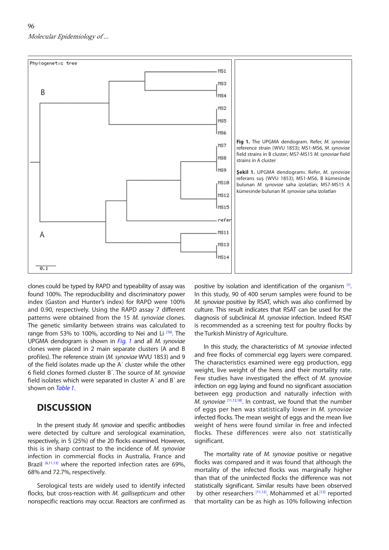<span id="page-3-0"></span>

clones could be typed by RAPD and typeability of assay was found 100%. The reproducibility and discriminatory power index (Gaston and Hunter's index) for RAPD were 100% and 0.90, respectively. Using the RAPD assay 7 different patterns were obtained from the 15 *M. synoviae* clones. The genetic similarity between strains was calculated to range from 53% to 100%, according to Nei and Li <sup>[\[16\]](#page-4-0)</sup>. The UPGMA dendogram is shown in *Fig. 1* and all *M. synoviae*  clones were placed in 2 main separate clusters (A and B profiles). The reference strain (*M. synoviae* WVU 1853) and 9 of the field isolates made up the A´ cluster while the other 6 field clones formed cluster B´. The source of *M. synoviae*  field isolates which were separated in cluster A´ and B´ are shown on *[Table 1](#page-2-0)*.

### **DISCUSSION**

In the present study *M. synoviae* and specific antibodies were detected by culture and serological examination, respectively, in 5 (25%) of the 20 flocks examined. However, this is in sharp contrast to the incidence of *M. synoviae* infection in commercial flocks in Australia, France and Brazil  $[6,11,13]$  where the reported infection rates are 69%. 68% and 72.7%, respectively.

Serological tests are widely used to identify infected flocks, but cross-reaction with *M. gallisepticum* and other nonspecific reactions may occur. Reactors are confirmed as

positive by isolation and identification of the organism [1]. In this study, 90 of 400 serum samples were found to be *M. synoviae* positive by RSAT, which was also confirmed by culture. This result indicates that RSAT can be used for the diagnosis of subclinical *M. synoviae* infection. Indeed RSAT is recommended as a screening test for poultry flocks by the Turkish Ministry of Agriculture.

In this study, the characteristics of *M. synoviae* infected and free flocks of commercial egg layers were compared. The characteristics examined were egg production, egg weight, live weight of the hens and their mortality rate. Few studies have investigated the effect of *M. synoviae* infection on egg laying and found no significant association between egg production and naturally infection with *M. synoviae* <sup>[\[11,12,18\].](#page-4-0) In contrast, we found that the number</sup> of eggs per hen was statistically lower in *M. synoviae* infected flocks. The mean weight of eggs and the mean live weight of hens were found similar in free and infected flocks. These differences were also not statistically significant.

The mortality rate of *M. synoviae* positive or negative flocks was compared and it was found that although the mortality of the infected flocks was marginally higher than that of the uninfected flocks the difference was not statistically significant. Similar results have been observed by other researchers  $[11,12]$ . Mohammed et al.<sup>[12]</sup> reported that mortality can be as high as 10% following infection